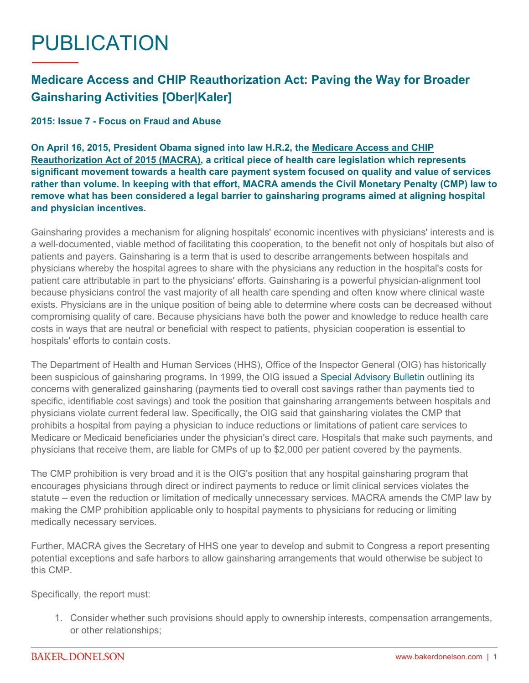## PUBLICATION

## **Medicare Access and CHIP Reauthorization Act: Paving the Way for Broader Gainsharing Activities [Ober|Kaler]**

## **2015: Issue 7 - Focus on Fraud and Abuse**

**On April 16, 2015, President Obama signed into law H.R.2, the [Medicare Access and CHIP](https://www.congress.gov/bill/114th-congress/house-bill/2/text)  [Reauthorization Act of 2015 \(MACRA\)](https://www.congress.gov/bill/114th-congress/house-bill/2/text), a critical piece of health care legislation which represents significant movement towards a health care payment system focused on quality and value of services rather than volume. In keeping with that effort, MACRA amends the Civil Monetary Penalty (CMP) law to remove what has been considered a legal barrier to gainsharing programs aimed at aligning hospital and physician incentives.**

Gainsharing provides a mechanism for aligning hospitals' economic incentives with physicians' interests and is a well-documented, viable method of facilitating this cooperation, to the benefit not only of hospitals but also of patients and payers. Gainsharing is a term that is used to describe arrangements between hospitals and physicians whereby the hospital agrees to share with the physicians any reduction in the hospital's costs for patient care attributable in part to the physicians' efforts. Gainsharing is a powerful physician-alignment tool because physicians control the vast majority of all health care spending and often know where clinical waste exists. Physicians are in the unique position of being able to determine where costs can be decreased without compromising quality of care. Because physicians have both the power and knowledge to reduce health care costs in ways that are neutral or beneficial with respect to patients, physician cooperation is essential to hospitals' efforts to contain costs.

The Department of Health and Human Services (HHS), Office of the Inspector General (OIG) has historically been suspicious of gainsharing programs. In 1999, the OIG issued a [Special Advisory Bulletin](https://oig.hhs.gov/fraud/docs/alertsandbulletins/gainsh.htm) outlining its concerns with generalized gainsharing (payments tied to overall cost savings rather than payments tied to specific, identifiable cost savings) and took the position that gainsharing arrangements between hospitals and physicians violate current federal law. Specifically, the OIG said that gainsharing violates the CMP that prohibits a hospital from paying a physician to induce reductions or limitations of patient care services to Medicare or Medicaid beneficiaries under the physician's direct care. Hospitals that make such payments, and physicians that receive them, are liable for CMPs of up to \$2,000 per patient covered by the payments.

The CMP prohibition is very broad and it is the OIG's position that any hospital gainsharing program that encourages physicians through direct or indirect payments to reduce or limit clinical services violates the statute – even the reduction or limitation of medically unnecessary services. MACRA amends the CMP law by making the CMP prohibition applicable only to hospital payments to physicians for reducing or limiting medically necessary services.

Further, MACRA gives the Secretary of HHS one year to develop and submit to Congress a report presenting potential exceptions and safe harbors to allow gainsharing arrangements that would otherwise be subject to this CMP.

Specifically, the report must:

1. Consider whether such provisions should apply to ownership interests, compensation arrangements, or other relationships;